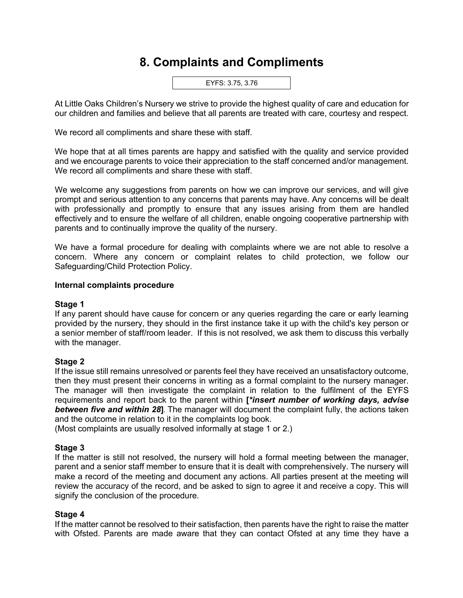# **8. Complaints and Compliments**

EYFS: 3.75, 3.76

At Little Oaks Children's Nursery we strive to provide the highest quality of care and education for our children and families and believe that all parents are treated with care, courtesy and respect.

We record all compliments and share these with staff.

We hope that at all times parents are happy and satisfied with the quality and service provided and we encourage parents to voice their appreciation to the staff concerned and/or management. We record all compliments and share these with staff.

We welcome any suggestions from parents on how we can improve our services, and will give prompt and serious attention to any concerns that parents may have. Any concerns will be dealt with professionally and promptly to ensure that any issues arising from them are handled effectively and to ensure the welfare of all children, enable ongoing cooperative partnership with parents and to continually improve the quality of the nursery.

We have a formal procedure for dealing with complaints where we are not able to resolve a concern. Where any concern or complaint relates to child protection, we follow our Safeguarding/Child Protection Policy.

## **Internal complaints procedure**

#### **Stage 1**

If any parent should have cause for concern or any queries regarding the care or early learning provided by the nursery, they should in the first instance take it up with the child's key person or a senior member of staff/room leader. If this is not resolved, we ask them to discuss this verbally with the manager.

#### **Stage 2**

If the issue still remains unresolved or parents feel they have received an unsatisfactory outcome, then they must present their concerns in writing as a formal complaint to the nursery manager. The manager will then investigate the complaint in relation to the fulfilment of the EYFS requirements and report back to the parent within **[***\*insert number of working days, advise between five and within 28***].** The manager will document the complaint fully, the actions taken and the outcome in relation to it in the complaints log book.

(Most complaints are usually resolved informally at stage 1 or 2.)

# **Stage 3**

If the matter is still not resolved, the nursery will hold a formal meeting between the manager, parent and a senior staff member to ensure that it is dealt with comprehensively. The nursery will make a record of the meeting and document any actions. All parties present at the meeting will review the accuracy of the record, and be asked to sign to agree it and receive a copy. This will signify the conclusion of the procedure.

#### **Stage 4**

If the matter cannot be resolved to their satisfaction, then parents have the right to raise the matter with Ofsted. Parents are made aware that they can contact Ofsted at any time they have a